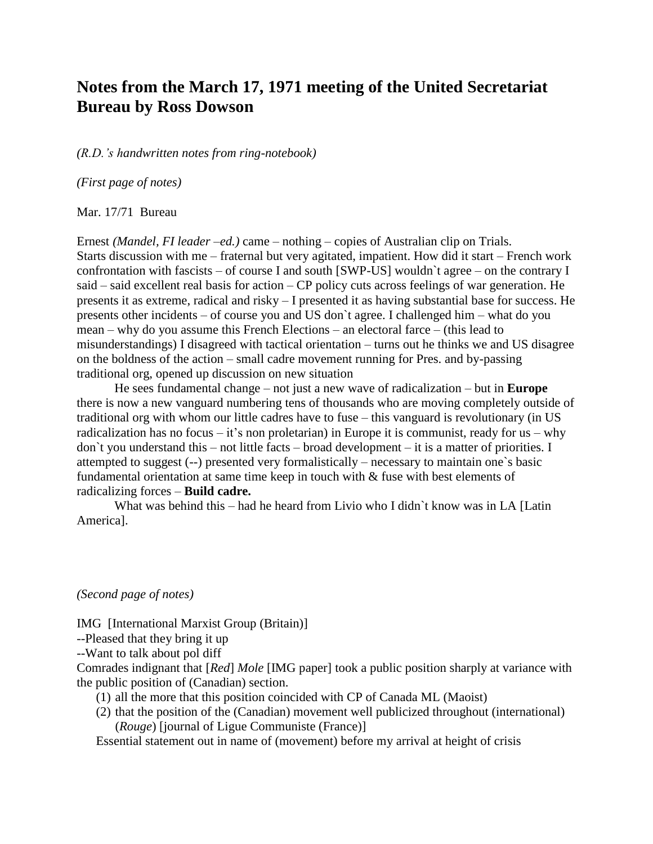## **Notes from the March 17, 1971 meeting of the United Secretariat Bureau by Ross Dowson**

*(R.D.'s handwritten notes from ring-notebook)* 

*(First page of notes)*

Mar. 17/71 Bureau

Ernest *(Mandel, FI leader –ed.)* came – nothing – copies of Australian clip on Trials. Starts discussion with me – fraternal but very agitated, impatient. How did it start – French work confrontation with fascists – of course I and south [SWP-US] wouldn`t agree – on the contrary I said – said excellent real basis for action – CP policy cuts across feelings of war generation. He presents it as extreme, radical and risky – I presented it as having substantial base for success. He presents other incidents – of course you and US don`t agree. I challenged him – what do you mean – why do you assume this French Elections – an electoral farce – (this lead to misunderstandings) I disagreed with tactical orientation – turns out he thinks we and US disagree on the boldness of the action – small cadre movement running for Pres. and by-passing traditional org, opened up discussion on new situation

He sees fundamental change – not just a new wave of radicalization – but in **Europe** there is now a new vanguard numbering tens of thousands who are moving completely outside of traditional org with whom our little cadres have to fuse – this vanguard is revolutionary (in US radicalization has no focus – it's non proletarian) in Europe it is communist, ready for us – why don`t you understand this – not little facts – broad development – it is a matter of priorities. I attempted to suggest (--) presented very formalistically – necessary to maintain one`s basic fundamental orientation at same time keep in touch with & fuse with best elements of radicalizing forces – **Build cadre.**

What was behind this – had he heard from Livio who I didn't know was in LA [Latin] America].

*(Second page of notes)*

IMG [International Marxist Group (Britain)]

--Pleased that they bring it up

--Want to talk about pol diff

Comrades indignant that [*Red*] *Mole* [IMG paper] took a public position sharply at variance with the public position of (Canadian) section.

(1) all the more that this position coincided with CP of Canada ML (Maoist)

(2) that the position of the (Canadian) movement well publicized throughout (international) (*Rouge*) [journal of Ligue Communiste (France)]

Essential statement out in name of (movement) before my arrival at height of crisis